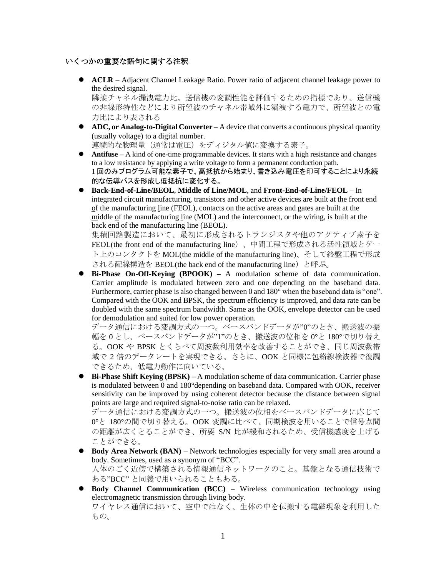## いくつかの重要な語句に関する注釈

- ACLR Adjacent Channel Leakage Ratio. Power ratio of adjacent channel leakage power to the desired signal. 隣接チャネル漏洩電力比。送信機の変調性能を評価するための指標であり、送信機 の非線形特性などにより所望波のチャネル帯域外に漏洩する電力で、所望波との電 力比により表される
- **ADC, or Analog-to-Digital Converter** A device that converts a continuous physical quantity (usually voltage) to a digital number. 連続的な物理量(通常は電圧)をディジタル値に変換する素子。
- ⚫ **Antifuse –** A kind of one-time programmable devices. It starts with a high resistance and changes to a low resistance by applying a write voltage to form a permanent conduction path. 1 回のみプログラム可能な素子で、高抵抗から始まり、書き込み電圧を印可することにより永続 的な伝導パスを形成し低抵抗に変化する。
- ⚫ **Back-End-of-Line/BEOL**, **Middle of Line/MOL**, and **Front-End-of-Line/FEOL**  In integrated circuit manufacturing, transistors and other active devices are built at the front end of the manufacturing line (FEOL), contacts on the active areas and gates are built at the middle of the manufacturing line (MOL) and the interconnect, or the wiring, is built at the back end of the manufacturing line (BEOL).

集積回路製造において、最初に形成されるトランジスタや他のアクティブ素子を FEOL(the front end of the manufacturing line)、中間工程で形成される活性領域とゲー ト上のコンタクトを MOL(the middle of the manufacturing line)、そして終盤工程で形成 される配線構造を BEOL(the back end of the manufacturing line)と呼ぶ。

⚫ **Bi-Phase On-Off-Keying (BPOOK) –** A modulation scheme of data communication. Carrier amplitude is modulated between zero and one depending on the baseband data. Furthermore, carrier phase is also changed between 0 and 180° when the baseband data is "one". Compared with the OOK and BPSK, the spectrum efficiency is improved, and data rate can be doubled with the same spectrum bandwidth. Same as the OOK, envelope detector can be used for demodulation and suited for low power operation.

データ通信における変調方式の一つ。ベースバンドデータが"0"のとき、搬送波の振 幅を 0 とし、ベースバンドデータが"1"のとき、搬送波の位相を 0°と 180°で切り替え る。OOK や BPSK とくらべて周波数利用効率を改善することができ、同じ周波数帯 域で 2 倍のデータレートを実現できる。さらに、OOK と同様に包絡線検波器で復調 できるため、低電力動作に向いている。

● **Bi-Phase Shift Keying (BPSK)** – A modulation scheme of data communication. Carrier phase is modulated between 0 and 180°depending on baseband data. Compared with OOK, receiver sensitivity can be improved by using coherent detector because the distance between signal points are large and required signal-to-noise ratio can be relaxed.

データ通信における変調方式の一つ。搬送波の位相をベースバンドデータに応じて 0°と 180°の間で切り替える。OOK 変調に比べて、同期検波を用いることで信号点間 の距離が広くとることができ、所要 S/N 比が緩和されるため、受信機感度を上げる ことができる。

- ⚫ **Body Area Network (BAN)** Network technologies especially for very small area around a body. Sometimes, used as a synonym of "BCC". 人体のごく近傍で構築される情報通信ネットワークのこと。基盤となる通信技術で ある"BCC" と同義で用いられることもある。
- ⚫ **Body Channel Communication (BCC)** Wireless communication technology using electromagnetic transmission through living body. ワイヤレス通信において、空中ではなく、生体の中を伝搬する電磁現象を利用した もの。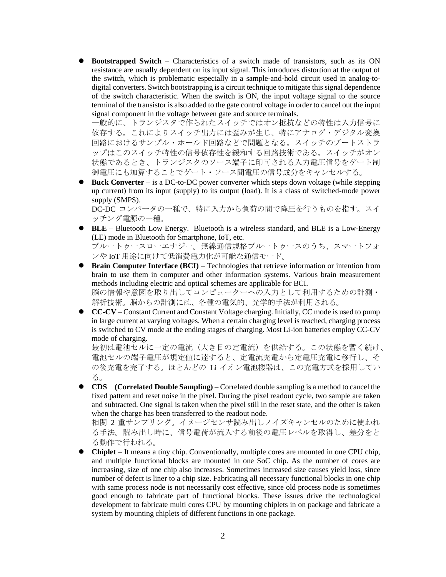⚫ **Bootstrapped Switch** – Characteristics of a switch made of transistors, such as its ON resistance are usually dependent on its input signal. This introduces distortion at the output of the switch, which is problematic especially in a sample-and-hold circuit used in analog-todigital converters. Switch bootstrapping is a circuit technique to mitigate this signal dependence of the switch characteristic. When the switch is ON, the input voltage signal to the source terminal of the transistor is also added to the gate control voltage in order to cancel out the input signal component in the voltage between gate and source terminals.

一般的に、トランジスタで作られたスイッチではオン抵抗などの特性は入力信号に 依存する。これによりスイッチ出力には歪みが生じ、特にアナログ・デジタル変換 回路におけるサンプル・ホールド回路などで問題となる。スイッチのブートストラ ップはこのスイッチ特性の信号依存性を緩和する回路技術である。スイッチがオン 状態であるとき、トランジスタのソース端子に印可される入力電圧信号をゲート制 御電圧にも加算することでゲート・ソース間電圧の信号成分をキャンセルする。

⚫ **Buck Converter** – is a DC-to-DC power converter which steps down voltage (while stepping up current) from its input (supply) to its output (load). It is a class of switched-mode power supply (SMPS).

DC-DC コンバータの一種で、特に入力から負荷の間で降圧を行うものを指す。スイ ッチング電源の一種。

- **BLE** Bluetooth Low Energy. Bluetooth is a wireless standard, and BLE is a Low-Energy (LE) mode in Bluetooth for Smartphone, IoT, etc. ブルートゥースローエナジー。無線通信規格ブルートゥースのうち、スマートフォ ンや IoT 用途に向けて低消費電力化が可能な通信モード。
- **Brain Computer Interface (BCI)** Technologies that retrieve information or intention from brain to use them in computer and other information systems. Various brain measurement methods including electric and optical schemes are applicable for BCI. 脳の情報や意図を取り出してコンピューターへの入力として利用するための計測・ 解析技術。脳からの計測には、各種の電気的、光学的手法が利用される。
- ⚫ **CC-CV** Constant Current and Constant Voltage charging. Initially, CC mode is used to pump in large current at varying voltages. When a certain charging level is reached, charging process is switched to CV mode at the ending stages of charging. Most Li-ion batteries employ CC-CV mode of charging.

最初は電池セルに一定の電流(大き目の定電流)を供給する。この状態を暫く続け、 電池セルの端子電圧が規定値に達すると、定電流充電から定電圧充電に移行し、そ の後充電を完了する。ほとんどの Li イオン電池機器は、この充電方式を採用してい る。

⚫ **CDS (Correlated Double Sampling)** – Correlated double sampling is a method to cancel the fixed pattern and reset noise in the pixel. During the pixel readout cycle, two sample are taken and subtracted. One signal is taken when the pixel still in the reset state, and the other is taken when the charge has been transferred to the readout node.

相関 2 重サンプリング。イメージセンサ読み出しノイズキャンセルのために使われ る手法。読み出し時に、信号電荷が流入する前後の電圧レベルを取得し、差分をと る動作で行われる。

⚫ **Chiplet** – It means a tiny chip. Conventionally, multiple cores are mounted in one CPU chip, and multiple functional blocks are mounted in one SoC chip. As the number of cores are increasing, size of one chip also increases. Sometimes increased size causes yield loss, since number of defect is liner to a chip size. Fabricating all necessary functional blocks in one chip with same process node is not necessarily cost effective, since old process node is sometimes good enough to fabricate part of functional blocks. These issues drive the technological development to fabricate multi cores CPU by mounting chiplets in on package and fabricate a system by mounting chiplets of different functions in one package.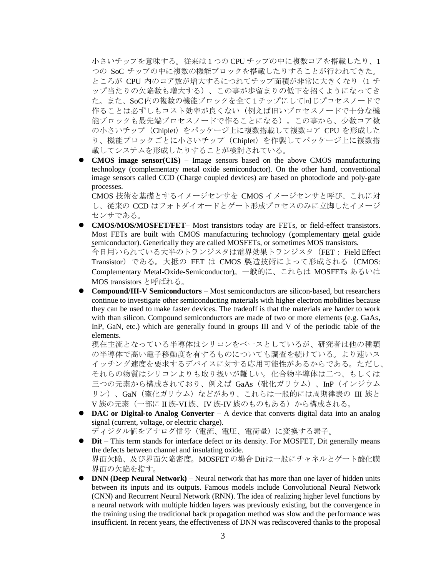小さいチップを意味する。従来は 1 つの CPU チップの中に複数コアを搭載したり、1 つの SoC チップの中に複数の機能ブロックを搭載したりすることが行われてきた。 ところが CPU 内のコア数が増大するにつれてチップ面積が非常に大きくなり (1 チ ップ当たりの欠陥数も増大する)、この事が歩留まりの低下を招くようになってき た。また、SoC内の複数の機能ブロックを全て 1チップにして同じプロセスノードで 作ることは必ずしもコスト効率が良くない(例えば旧いプロセスノードで十分な機 能ブロックも最先端プロセスノードで作ることになる)。この事から、少数コア数 の小さいチップ (Chiplet) をパッケージ上に複数搭載して複数コア CPU を形成した り、機能ブロックごとに小さいチップ(Chiplet)を作製してパッケージ上に複数搭 載してシステムを形成したりすることが検討されている。

⚫ **CMOS image sensor(CIS)** – Image sensors based on the above CMOS manufacturing technology (complementary metal oxide semiconductor). On the other hand, conventional image sensors called CCD (Charge coupled devices) are based on photodiode and poly-gate processes.

CMOS 技術を基礎とするイメージセンサを CMOS イメージセンサと呼び、これに対 し、従来の CCD はフォトダイオードとゲート形成プロセスのみに立脚したイメージ センサである。

⚫ **CMOS/MOS/MOSFET/FET**– Most transistors today are FETs, or field-effect transistors. Most FETs are built with CMOS manufacturing technology (complementary metal oxide semiconductor). Generically they are called MOSFETs, or sometimes MOS transistors. 今日用いられている大半のトランジスタは電界効果トランジスタ(FET: Field Effect Transistor)である。大抵の FET は CMOS 製造技術によって形成される(CMOS: Complementary Metal-Oxide-Semiconductor)。一般的に、これらは MOSFETs あるいは

MOS transistors と呼ばれる。

● **Compound/III-V Semiconductors** – Most semiconductors are silicon-based, but researchers continue to investigate other semiconducting materials with higher electron mobilities because they can be used to make faster devices. The tradeoff is that the materials are harder to work with than silicon. Compound semiconductors are made of two or more elements (e.g. GaAs, InP, GaN, etc.) which are generally found in groups III and V of the periodic table of the elements.

現在主流となっている半導体はシリコンをベースとしているが、研究者は他の種類 の半導体で高い電子移動度を有するものについても調査を続けている。より速いス イッチング速度を要求するデバイスに対する応用可能性があるからである。ただし、 それらの物質はシリコンよりも取り扱いが難しい。化合物半導体は二つ、もしくは 三つの元素から構成されており、例えば GaAs(砒化ガリウム)、InP(インジウム リン)、GaN(窒化ガリウム)などがあり、これらは一般的には周期律表の III 族と V族の元素(一部に II 族-VI 族、IV 族-IV 族のものもある)から構成される。

● **DAC or Digital-to Analog Converter** – A device that converts digital data into an analog signal (current, voltage, or electric charge).

ディジタル値をアナログ信号(電流、電圧、電荷量)に変換する素子。

- ⚫ **Dit** This term stands for interface defect or its density. For MOSFET, Dit generally means the defects between channel and insulating oxide. 界面欠陥、及び界面欠陥密度。MOSFETの場合 Ditは一般にチャネルとゲート酸化膜 界面の欠陥を指す。
- ⚫ **DNN (Deep Neural Network)** Neural network that has more than one layer of hidden units between its inputs and its outputs. Famous models include Convolutional Neural Network (CNN) and Recurrent Neural Network (RNN). The idea of realizing higher level functions by a neural network with multiple hidden layers was previously existing, but the convergence in the training using the traditional back propagation method was slow and the performance was insufficient. In recent years, the effectiveness of DNN was rediscovered thanks to the proposal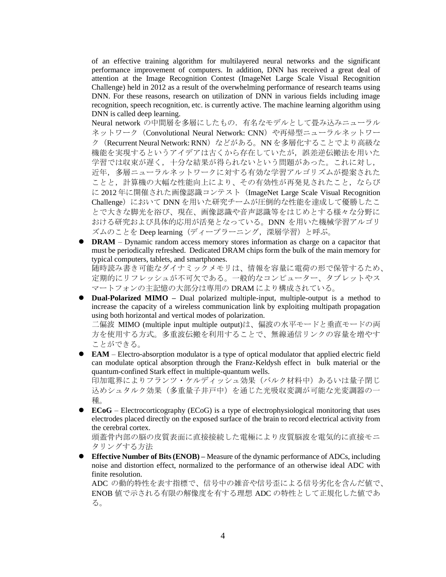of an effective training algorithm for multilayered neural networks and the significant performance improvement of computers. In addition, DNN has received a great deal of attention at the Image Recognition Contest (ImageNet Large Scale Visual Recognition Challenge) held in 2012 as a result of the overwhelming performance of research teams using DNN. For these reasons, research on utilization of DNN in various fields including image recognition, speech recognition, etc. is currently active. The machine learning algorithm using DNN is called deep learning.

Neural network の中間層を多層にしたもの.有名なモデルとして畳み込みニューラル ネットワーク (Convolutional Neural Network: CNN) や再帰型ニューラルネットワー ク (Recurrent Neural Network: RNN) などがある。NN を多層化することでより高級な 機能を実現するというアイデアは古くから存在していたが、誤差逆伝搬法を用いた 学習では収束が遅く,十分な結果が得られないという問題があった。これに対し, 近年,多層ニューラルネットワークに対する有効な学習アルゴリズムが提案された ことと,計算機の大幅な性能向上により、その有効性が再発見されたこと,ならび に 2012 年に開催された画像認識コンテスト(ImageNet Large Scale Visual Recognition Challenge)において DNN を用いた研究チームが圧倒的な性能を達成して優勝したこ とで大きな脚光を浴び、現在、画像認識や音声認識等をはじめとする様々な分野に おける研究および具体的応用が活発となっている。DNN を用いた機械学習アルゴリ ズムのことを Deep learning(ディープラーニング,深層学習)と呼ぶ。

- **DRAM** Dynamic random access memory stores information as charge on a capacitor that must be periodically refreshed. Dedicated DRAM chips form the bulk of the main memory for typical computers, tablets, and smartphones. 随時読み書き可能なダイナミックメモリは、情報を容量に電荷の形で保管するため、 定期的にリフレッシュが不可欠である。一般的なコンピューター、タブレットやス マートフォンの主記憶の大部分は専用の DRAM により構成されている。
- **Dual-Polarized MIMO** Dual polarized multiple-input, multiple-output is a method to increase the capacity of a wireless communication link by exploiting multipath propagation using both horizontal and vertical modes of polarization.

二偏波 MIMO (multiple input multiple output)は、偏波の水平モードと垂直モードの両 方を使用する方式。多重波伝搬を利用することで、無線通信リンクの容量を増やす ことができる。

- **EAM** Electro-absorption modulator is a type of optical modulator that applied electric field can modulate optical absorption through the Franz-Keldysh effect in bulk material or the quantum-confined Stark effect in multiple-quantum wells. 印加電界によりフランツ・ケルディッシュ効果(バルク材料中)あるいは量子閉じ 込めシュタルク効果(多重量子井戸中)を通じた光吸収変調が可能な光変調器の一 種。
- ⚫ **ECoG** Electrocorticography (ECoG) is a type of electrophysiological monitoring that uses electrodes placed directly on the exposed surface of the brain to record electrical activity from the cerebral cortex.

頭蓋骨内部の脳の皮質表面に直接接続した電極により皮質脳波を電気的に直接モニ タリングする方法

⚫ **Effective Number of Bits (ENOB) –** Measure of the dynamic performance of ADCs, including noise and distortion effect, normalized to the performance of an otherwise ideal ADC with finite resolution.

ADC の動的特性を表す指標で、信号中の雑音や信号歪による信号劣化を含んだ値で、 ENOB 値で示される有限の解像度を有する理想 ADC の特性として正規化した値であ る。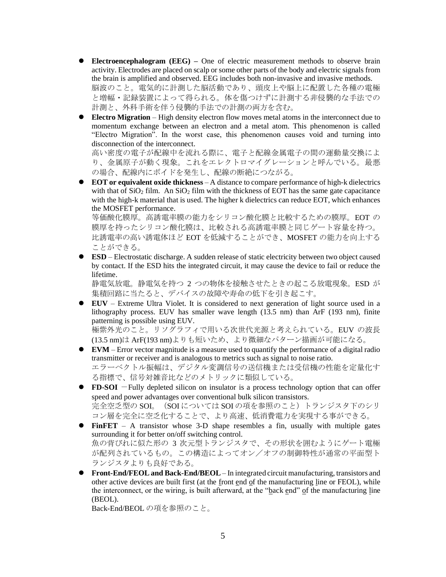- **Electroencephalogram** (**EEG**) One of electric measurement methods to observe brain activity. Electrodes are placed on scalp or some other parts of the body and electric signals from the brain is amplified and observed. EEG includes both non-invasive and invasive methods. 脳波のこと。電気的に計測した脳活動であり、頭皮上や脳上に配置した各種の電極 と増幅・記録装置によって得られる。体を傷つけずに計測する非侵襲的な手法での 計測と、外科手術を伴う侵襲的手法での計測の両方を含む。
- ⚫ **Electro Migration** High density electron flow moves metal atoms in the interconnect due to momentum exchange between an electron and a metal atom. This phenomenon is called "Electro Migration". In the worst case, this phenomenon causes void and turning into disconnection of the interconnect.

高い密度の電子が配線中を流れる際に、電子と配線金属電子の間の運動量交換によ り、金属原子が動く現象。これをエレクトロマイグレーションと呼んでいる。最悪 の場合、配線内にボイドを発生し、配線の断絶につながる。

⚫ **EOT or equivalent oxide thickness** – A distance to compare performance of high-k dielectrics with that of  $SiO<sub>2</sub>$  film. An  $SiO<sub>2</sub>$  film with the thickness of EOT has the same gate capacitance with the high-k material that is used. The higher k dielectrics can reduce EOT, which enhances the MOSFET performance.

等価酸化膜厚。高誘電率膜の能力をシリコン酸化膜と比較するための膜厚。EOT の 膜厚を持ったシリコン酸化膜は、比較される高誘電率膜と同じゲート容量を持つ。 比誘電率の高い誘電体ほど EOT を低減することができ、MOSFET の能力を向上する ことができる。

● **ESD** – Electrostatic discharge. A sudden release of static electricity between two object caused by contact. If the ESD hits the integrated circuit, it may cause the device to fail or reduce the lifetime.

静電気放電。静電気を持つ 2 つの物体を接触させたときの起こる放電現象。ESD が 集積回路に当たると、デバイスの故障や寿命の低下を引き起こす。

⚫ **EUV** – Extreme Ultra Violet. It is considered to next generation of light source used in a lithography process. EUV has smaller wave length (13.5 nm) than ArF (193 nm), finite patterning is possible using EUV.

極紫外光のこと。リソグラフィで用いる次世代光源と考えられている。EUV の波長 (13.5 nm)は ArF(193 nm)よりも短いため、より微細なパターン描画が可能になる。

- ⚫ **EVM** Error vector magnitude is a measure used to quantify the performance of a digital radio transmitter or receiver and is analogous to metrics such as signal to noise ratio. エラーベクトル振幅は、デジタル変調信号の送信機または受信機の性能を定量化す る指標で、信号対雑音比などのメトリックに類似している。
- **FD-SOI** −Fully depleted silicon on insulator is a process technology option that can offer speed and power advantages over conventional bulk silicon transistors. 完全空乏型の SOI。(SOI については SOI の項を参照のこと)トランジスタ下のシリ コン層を完全に空乏化することで、より高速、低消費電力を実現する事ができる。
- ⚫ **FinFET**  A transistor whose 3-D shape resembles a fin, usually with multiple gates surrounding it for better on/off switching control. 魚の背びれに似た形の 3 次元型トランジスタで、その形状を囲むようにゲート電極 が配列されているもの。この構造によってオン/オフの制御特性が通常の平面型ト ランジスタよりも良好である。
- ⚫ **Front-End/FEOL and Back-End/BEOL** In integrated circuit manufacturing, transistors and other active devices are built first (at the front end of the manufacturing line or FEOL), while the interconnect, or the wiring, is built afterward, at the "back end" of the manufacturing line (BEOL).

Back-End/BEOL の項を参照のこと。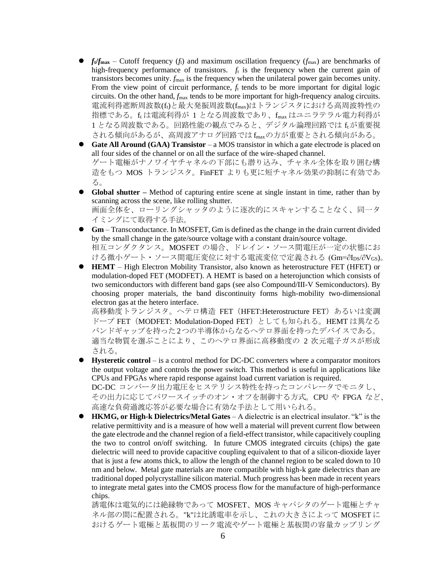- $f_{\text{t}}/f_{\text{max}}$  Cutoff frequency ( $f_{\text{t}}$ ) and maximum oscillation frequency ( $f_{\text{max}}$ ) are benchmarks of high-frequency performance of transistors.  $f_t$  is the frequency when the current gain of transistors becomes unity. *f*max is the frequency when the unilateral power gain becomes unity. From the view point of circuit performance,  $f_t$  tends to be more important for digital logic circuits. On the other hand, *f*max tends to be more important for high-frequency analog circuits. 電流利得遮断周波数(ft)と最大発振周波数(fmax)はトランジスタにおける高周波特性の 指標である。ft は電流利得が 1 となる周波数であり、fmax はユニラテラル電力利得が 1 となる周波数である。回路性能の観点でみると、デジタル論理回路では ftが重要視 される傾向があるが、高周波アナログ回路では fmaxの方が重要とされる傾向がある。
- **Gate All Around (GAA) Transistor** a MOS transistor in which a gate electrode is placed on all four sides of the channel or on all the surface of the wire-shaped channel. ゲート電極がナノワイヤチャネルの下部にも潜り込み、チャネル全体を取り囲む構 造をもつ MOS トランジスタ。FinFET よりも更に短チャネル効果の抑制に有効であ る。
- **Global shutter** Method of capturing entire scene at single instant in time, rather than by scanning across the scene, like rolling shutter. 画面全体を、ローリングシャッタのように逐次的にスキャンすることなく、同一タ イミングにて取得する手法。
- **Gm** Transconductance. In MOSFET, Gm is defined as the change in the drain current divided by the small change in the gate/source voltage with a constant drain/source voltage. 相互コンダクタンス。MOSFET の場合、ドレイン・ソース間電圧が一定の状態にお ける微小ゲート・ソース間電圧変位に対する電流変位で定義される $(Gm=$  $\partial I_{DS}/\partial V_{GS})$ 。
- ⚫ **HEMT** High Electron Mobility Transistor, also known as heterostructure FET (HFET) or modulation-doped FET (MODFET). A HEMT is based on a heterojunction which consists of two semiconductors with different band gaps (see also Compound/III-V Semiconductors). By choosing proper materials, the band discontinuity forms high-mobility two-dimensional electron gas at the hetero interface.

高移動度トランジスタ。ヘテロ構造 FET (HFET:Heterostructure FET) あるいは変調 ドープ FET (MODFET: Modulation-Doped FET) としても知られる。HEMT は異なる バンドギャップを持った2つの半導体からなるヘテロ界面を持ったデバイスである。 適当な物質を選ぶことにより、このヘテロ界面に高移動度の 2 次元電子ガスが形成 される。

- ⚫ **Hysteretic control** is a control method for DC-DC converters where a comparator monitors the output voltage and controls the power switch. This method is useful in applications like CPUs and FPGAs where rapid response against load current variation is required. DC-DC コンバータ出力電圧をヒステリシス特性を持ったコンパレータでモニタし、 その出力に応じてパワースイッチのオン・オフを制御する方式。CPU や FPGA など、 高速な負荷過渡応答が必要な場合に有効な手法として用いられる。
- ⚫ **HKMG, or High-k Dielectrics/Metal Gates** A dielectric is an electrical insulator. "k" is the relative permittivity and is a measure of how well a material will prevent current flow between the gate electrode and the channel region of a field-effect transistor, while capacitively coupling the two to control on/off switching. In future CMOS integrated circuits (chips) the gate dielectric will need to provide capacitive coupling equivalent to that of a silicon-dioxide layer that is just a few atoms thick, to allow the length of the channel region to be scaled down to 10 nm and below. Metal gate materials are more compatible with high-k gate dielectrics than are traditional doped polycrystalline silicon material. Much progress has been made in recent years to integrate metal gates into the CMOS process flow for the manufacture of high-performance chips.

誘電体は電気的には絶縁物であって MOSFET、MOS キャパシタのゲート電極とチャ ネル部の間に配置される。"k"は比誘電率を示し、これの大きさによって MOSFET に おけるゲート電極と基板間のリーク電流やゲート電極と基板間の容量カップリング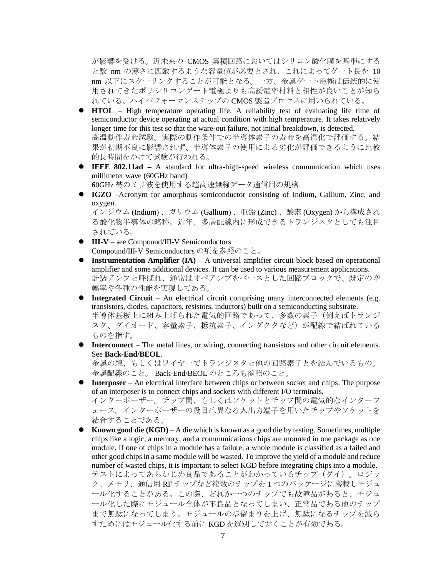が影響を受ける。近未来の CMOS 集積回路においてはシリコン酸化膜を基準にする と数 nm の薄さに匹敵するような容量値が必要とされ、これによってゲート長を 10 nm 以下にスケーリングすることが可能となる。一方、金属ゲート電極は伝統的に使 用されてきたポリシリコンゲート電極よりも高誘電率材料と相性が良いことが知ら れている。ハイパフォーマンスチップの CMOS 製造プロセスに用いられている。

- ⚫ **HTOL** High temperature operating life. A reliability test of evaluating life time of semiconductor device operating at actual condition with high temperature. It takes relatively longer time for this test so that the ware-out failure, not initial breakdown, is detected. 高温動作寿命試験。実際の動作条件での半導体素子の寿命を高温化で評価する。結 果が初期不良に影響されず、半導体素子の使用による劣化が評価できるように比較 的長時間をかけて試験が行われる。
- ⚫ **IEEE 802.11ad –** A standard for ultra-high-speed wireless communication which uses millimeter wave (60GHz band)

**6**0GHz 帯のミリ波を使用する超高速無線データ通信用の規格.

⚫ **IGZO** –Acronym for amorphous semiconductor consisting of Indium, Gallium, Zinc, and oxygen.

インジウム (Indium) 、ガリウム (Gallium) 、亜鉛 (Zinc) 、酸素 (Oxygen) から構成され る酸化物半導体の略称。近年、多層配線内に形成できるトランジスタとしても注目 されている。

- ⚫ **III-V** see Compound/III-V Semiconductors Compound/III-V Semiconductors の項を参照のこと。
- **Instrumentation Amplifier (IA)** A universal amplifier circuit block based on operational amplifier and some additional devices. It can be used to various measurement applications. 計装アンプと呼ばれ、通常はオペアンプをベースとした回路ブロックで、既定の増 幅率や各種の性能を実現してある。
- **Integrated Circuit** An electrical circuit comprising many interconnected elements (e.g. transistors, diodes, capacitors, resistors, inductors) built on a semiconducting substrate. 半導体基板上に組み上げられた電気的回路であって、多数の素子(例えばトランジ スタ、ダイオード、容量素子、抵抗素子、インダクタなど)が配線で結ばれている ものを指す。
- ⚫ **Interconnect**  The metal lines, or wiring, connecting transistors and other circuit elements. See **Back-End/BEOL**.

金属の線、もしくはワイヤーでトランジスタと他の回路素子とを結んでいるもの。 金属配線のこと。 Back-End/BEOL のところも参照のこと。

- ⚫ **Interposer** An electrical interface between chips or between socket and chips. The purpose of an interposer is to connect chips and sockets with different I/O terminals. インターポーザー。チップ間、もしくはソケットとチップ間の電気的なインターフ ェース。インターポーザーの役目は異なる入出力端子を用いたチップやソケットを 結合することである。
- **Known good die (KGD)** A die which is known as a good die by testing. Sometimes, multiple chips like a logic, a memory, and a communications chips are mounted in one package as one module. If one of chips in a module has a failure, a whole module is classified as a failed and other good chips in a same module will be wasted. To improve the yield of a module and reduce number of wasted chips, it is important to select KGD before integrating chips into a module. テストによってあらかじめ良品であることがわかっているチップ(ダイ)。ロジッ ク、メモリ、通信用 RF チップなど複数のチップを 1 つのパッケージに搭載しモジュ ール化することがある。この際、どれか一つのチップでも故障品があると、モジュ ール化した際にモジュール全体が不良品となってしまい、正常品である他のチップ まで無駄になってしまう。モジュールの歩留まりを上げ、無駄になるチップを減ら すためにはモジュール化する前に KGD を選別しておくことが有効である。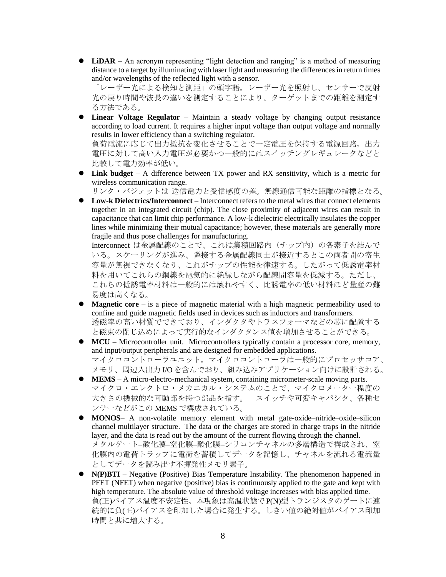● **LiDAR** – An acronym representing "light detection and ranging" is a method of measuring distance to a target by illuminating with laser light and measuring the differences in return times and/or wavelengths of the reflected light with a sensor.

「レーザー光による検知と測距」の頭字語。レーザー光を照射し、センサーで反射 光の戻り時間や波長の違いを測定することにより、ターゲットまでの距離を測定す る方法である。

⚫ **Linear Voltage Regulator** – Maintain a steady voltage by changing output resistance according to load current. It requires a higher input voltage than output voltage and normally results in lower efficiency than a switching regulator.

負荷電流に応じて出力抵抗を変化させることで一定電圧を保持する電源回路。出力 電圧に対して高い入力電圧が必要かつ一般的にはスイッチングレギュレータなどと 比較して電力効率が低い。

⚫ **Link budget** – A difference between TX power and RX sensitivity, which is a metric for wireless communication range.

リンク・バジェットは 送信電力と受信感度の差。無線通信可能な距離の指標となる。

⚫ **Low-k Dielectrics/Interconnect** – Interconnect refers to the metal wires that connect elements together in an integrated circuit (chip). The close proximity of adjacent wires can result in capacitance that can limit chip performance. A low-k dielectric electrically insulates the copper lines while minimizing their mutual capacitance; however, these materials are generally more fragile and thus pose challenges for manufacturing.

Interconnect は金属配線のことで、これは集積回路内(チップ内)の各素子を結んで いる。スケーリングが進み、隣接する金属配線同士が接近するとこの両者間の寄生 容量が無視できなくなり、これがチップの性能を律速する。したがって低誘電率材 料を用いてこれらの銅線を電気的に絶縁しながら配線間容量を低減する。ただし、 これらの低誘電率材料は一般的には壊れやすく、比誘電率の低い材料ほど量産の難 易度は高くなる。

- ⚫ **Magnetic core** is a piece of magnetic material with a high magnetic permeability used to confine and guide magnetic fields used in devices such as inductors and transformers. 透磁率の高い材質でできており、インダクタやトラスフォーマなどの芯に配置する と磁束の閉じ込めによって実行的なインダクタンス値を増加させることができる。
- ⚫ **MCU** Microcontroller unit. Microcontrollers typically contain a processor core, memory, and input/output peripherals and are designed for embedded applications. マイクロコントローラユニット。マイクロコントローラは一般的にプロセッサコア、
- メモリ、周辺入出力 I/O を含んでおり、組み込みアプリケーション向けに設計される。 ● **MEMS** – A micro-electro-mechanical system, containing micrometer-scale moving parts. マイクロ・エレクトロ・メカニカル・システムのことで、マイクロメーター程度の
- 大きさの機械的な可動部を持つ部品を指す。 スイッチや可変キャパシタ、各種セ ンサーなどがこの MEMS で構成されている。
- **MONOS** A non-volatile memory element with metal gate-oxide–nitride–oxide–silicon channel multilayer structure. The data or the charges are stored in charge traps in the nitride layer, and the data is read out by the amount of the current flowing through the channel. メタルゲート–酸化膜–窒化膜–酸化膜–シリコンチャネルの多層構造で構成され、窒 化膜内の電荷トラップに電荷を蓄積してデータを記憶し、チャネルを流れる電流量 としてデータを読み出す不揮発性メモリ素子。
- ⚫ **N(P)BTI** Negative (Positive) Bias Temperature Instability. The phenomenon happened in PFET (NFET) when negative (positive) bias is continuously applied to the gate and kept with high temperature. The absolute value of threshold voltage increases with bias applied time. 負(正)バイアス温度不安定性。本現象は高温状態でP(N)型トランジスタのゲートに連 続的に負(正)バイアスを印加した場合に発生する。しきい値の絶対値がバイアス印加 時間と共に増大する。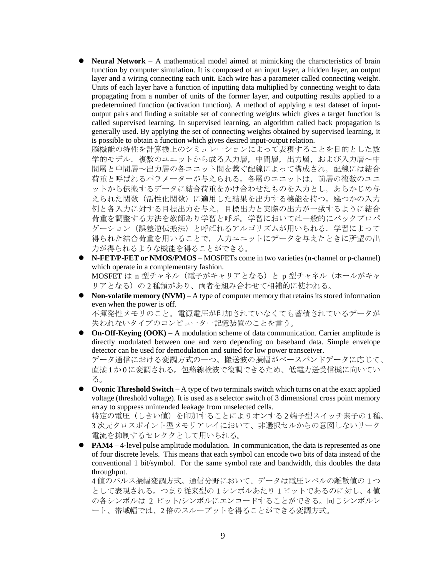⚫ **Neural Network** – A mathematical model aimed at mimicking the characteristics of brain function by computer simulation. It is composed of an input layer, a hidden layer, an output layer and a wiring connecting each unit. Each wire has a parameter called connecting weight. Units of each layer have a function of inputting data multiplied by connecting weight to data propagating from a number of units of the former layer, and outputting results applied to a predetermined function (activation function). A method of applying a test dataset of inputoutput pairs and finding a suitable set of connecting weights which gives a target function is called supervised learning. In supervised learning, an algorithm called back propagation is generally used. By applying the set of connecting weights obtained by supervised learning, it is possible to obtain a function which gives desired input-output relation.

脳機能の特性を計算機上のシミュレーションによって表現することを目的とした数 学的モデル.複数のユニットから成る入力層,中間層,出力層,および入力層~中 間層と中間層~出力層の各ユニット間を繋ぐ配線によって構成され,配線には結合 荷重と呼ばれるパラメーターが与えられる。各層のユニットは,前層の複数のユニ ットから伝搬するデータに結合荷重をかけ合わせたものを入力とし,あらかじめ与 えられた関数(活性化関数)に適用した結果を出力する機能を持つ。幾つかの入力 例と各入力に対する目標出力を与え,目標出力と実際の出力が一致するように結合 荷重を調整する方法を教師あり学習と呼ぶ。学習においては一般的にバックプロパ ゲーション(誤差逆伝搬法)と呼ばれるアルゴリズムが用いられる.学習によって 得られた結合荷重を用いることで,入力ユニットにデータを与えたときに所望の出 力が得られるような機能を得ることができる。

- **N-FET/P-FET or NMOS/PMOS** MOSFETs come in two varieties (n-channel or p-channel) which operate in a complementary fashion. MOSFET は n 型チャネル (電子がキャリアとなる)とp型チャネル (ホールがキャ リアとなる)の 2 種類があり、両者を組み合わせて相補的に使われる。
- ⚫ **Non-volatile memory (NVM)** A type of computer memory that retains its stored information even when the power is off. 不揮発性メモリのこと。電源電圧が印加されていなくても蓄積されているデータが 失われないタイプのコンピューター記憶装置のことを言う。
- ⚫ **On-Off-Keying (OOK) –** A modulation scheme of data communication. Carrier amplitude is directly modulated between one and zero depending on baseband data. Simple envelope detector can be used for demodulation and suited for low power transceiver.

データ通信における変調方式の一つ。搬送波の振幅がベースバンドデータに応じて、 直接 1か 0に変調される。包絡線検波で復調できるため、低電力送受信機に向いてい る。

● **Ovonic Threshold Switch** – A type of two terminals switch which turns on at the exact applied voltage (threshold voltage). It is used as a selector switch of 3 dimensional cross point memory array to suppress unintended leakage from unselected cells.

特定の電圧(しきい値)を印加することによりオンする 2端子型スイッチ素子の1種。 3 次元クロスポイント型メモリアレイにおいて、非選択セルからの意図しないリーク 電流を抑制するセレクタとして用いられる。

● **PAM4** – 4-level pulse amplitude modulation. In communication, the data is represented as one of four discrete levels. This means that each symbol can encode two bits of data instead of the conventional 1 bit/symbol. For the same symbol rate and bandwidth, this doubles the data throughput.

4 値のパルス振幅変調方式。通信分野において、データは電圧レベルの離散値の 1 つ として表現される。つまり従来型の 1 シンボルあたり 1 ビットであるのに対し、4 値 の各シンボルは 2 ビット/シンボルにエンコードすることができる。同じシンボルレ ート、帯域幅では、2 倍のスループットを得ることができる変調方式。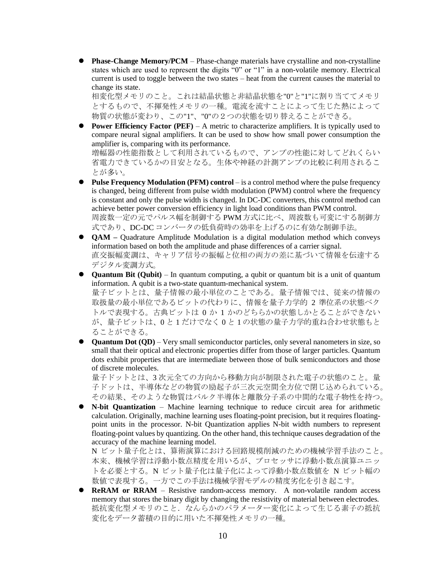● **Phase-Change Memory/PCM** – Phase-change materials have crystalline and non-crystalline states which are used to represent the digits "0" or "1" in a non-volatile memory. Electrical current is used to toggle between the two states – heat from the current causes the material to change its state.

相変化型メモリのこと。これは結晶状態と非結晶状態を"0"と"1"に割り当ててメモリ とするもので、不揮発性メモリの一種。電流を流すことによって生じた熱によって 物質の状態が変わり、この"1"、"0"の2つの状態を切り替えることができる。

⚫ **Power Efficiency Factor (PEF)** – A metric to characterize amplifiers. It is typically used to compare neural signal amplifiers. It can be used to show how small power consumption the amplifier is, comparing with its performance.

増幅器の性能指数として利用されているもので、アンプの性能に対してどれくらい 省電力できているかの目安となる。生体や神経の計測アンプの比較に利用されるこ とが多い。

- ⚫ **Pulse Frequency Modulation (PFM) control** is a control method where the pulse frequency is changed, being different from pulse width modulation (PWM) control where the frequency is constant and only the pulse width is changed. In DC-DC converters, this control method can achieve better power conversion efficiency in light load conditions than PWM control. 周波数一定の元でパルス幅を制御する PWM方式に比べ、周波数も可変にする制御方 式であり、DC-DC コンバータの低負荷時の効率を上げるのに有効な制御手法。
- **QAM** Quadrature Amplitude Modulation is a digital modulation method which conveys information based on both the amplitude and phase differences of a carrier signal. 直交振幅変調は、キャリア信号の振幅と位相の両方の差に基づいて情報を伝達する デジタル変調方式。
- ⚫ **Quantum Bit (Qubit)**  In quantum computing, a qubit or quantum bit is a unit of quantum information. A qubit is a two-state quantum-mechanical system. 量子ビットとは、量子情報の最小単位のことである。量子情報では、従来の情報の 取扱量の最小単位であるビットの代わりに、情報を量子力学的 2 準位系の状態ベク トルで表現する。古典ビットは 0 か 1 かのどちらかの状態しかとることができない が、量子ビットは、0 と 1 だけでなく 0 と 1 の状態の量子力学的重ね合わせ状態もと ることができる。
- ⚫ **Quantum Dot (QD)**  Very small semiconductor particles, only several nanometers in size, so small that their optical and electronic properties differ from those of larger particles. Quantum dots exhibit properties that are intermediate between those of bulk semiconductors and those of discrete molecules.

量子ドットとは、3 次元全ての方向から移動方向が制限された電子の状態のこと。量 子ドットは、半導体などの物質の励起子が三次元空間全方位で閉じ込められている。 その結果、そのような物質はバルク半導体と離散分子系の中間的な電子物性を持つ。

⚫ **N-bit Quantization** – Machine learning technique to reduce circuit area for arithmetic calculation. Originally, machine learning uses floating-point precision, but it requires floatingpoint units in the processor. N-bit Quantization applies N-bit width numbers to represent floating-point values by quantizing. On the other hand, this technique causes degradation of the accuracy of the machine learning model.

N ビット量子化とは、算術演算における回路規模削減のための機械学習手法のこと。 本来、機械学習は浮動小数点精度を用いるが、プロセッサに浮動小数点演算ユニッ トを必要とする。N ビット量子化は量子化によって浮動小数点数値を N ビット幅の 数値で表現する。一方でこの手法は機械学習モデルの精度劣化を引き起こす。

**ReRAM** or **RRAM** – Resistive random-access memory. A non-volatile random access memory that stores the binary digit by changing the resistivity of material between electrodes. 抵抗変化型メモリのこと.なんらかのパラメーター変化によって生じる素子の抵抗 変化をデータ蓄積の目的に用いた不揮発性メモリの一種。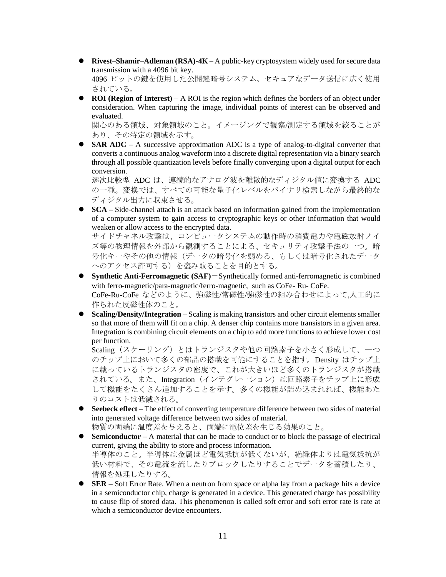⚫ **Rivest–Shamir–Adleman (RSA)-4K –** A public-key cryptosystem widely used for secure data transmission with a 4096 bit key.

4096 ビットの鍵を使用した公開鍵暗号システム。セキュアなデータ送信に広く使用 されている。

**ROI** (Region of Interest) – A ROI is the region which defines the borders of an object under consideration. When capturing the image, individual points of interest can be observed and evaluated.

関心のある領域、対象領域のこと。イメージングで観察/測定する領域を絞ることが あり、その特定の領域を示す。

● **SAR ADC** – A successive approximation ADC is a type of analog-to-digital converter that converts a continuous analog waveform into a discrete digital representation via a binary search through all possible quantization levels before finally converging upon a digital output for each conversion.

逐次比較型 ADC は、連続的なアナログ波を離散的なディジタル値に変換する ADC の一種。変換では、すべての可能な量子化レベルをバイナリ検索しながら最終的な ディジタル出力に収束させる。

⚫ **SCA –** Side-channel attach is an attack based on information gained from the implementation of a computer system to gain access to cryptographic keys or other information that would weaken or allow access to the encrypted data.

サイドチャネル攻撃は、コンピュータシステムの動作時の消費電力や電磁放射ノイ ズ等の物理情報を外部から観測することによる、セキュリティ攻撃手法の一つ。暗 号化キーやその他の情報(データの暗号化を弱める、もしくは暗号化されたデータ へのアクセス許可する)を盗み取ることを目的とする。

- ⚫ **Synthetic Anti-Ferromagnetic (SAF)**-Synthetically formed anti-ferromagnetic is combined with ferro-magnetic/para-magnetic/ferro-magnetic, such as CoFe- Ru- CoFe. CoFe-Ru-CoFe などのように、強磁性/常磁性/強磁性の組み合わせによって,人工的に 作られた反磁性体のこと。
- ⚫ **Scaling/Density/Integration** Scaling is making transistors and other circuit elements smaller so that more of them will fit on a chip. A denser chip contains more transistors in a given area. Integration is combining circuit elements on a chip to add more functions to achieve lower cost per function.

Scaling(スケーリング)とはトランジスタや他の回路素子を小さく形成して、一つ のチップ上において多くの部品の搭載を可能にすることを指す。Density はチップ上 に載っているトランジスタの密度で、これが大きいほど多くのトランジスタが搭載 されている。また、Integration(インテグレーション)は回路素子をチップ上に形成 して機能をたくさん追加することを示す。多くの機能が詰め込まれれば、機能あた りのコストは低減される。

- **Seebeck effect** The effect of converting temperature difference between two sides of material into generated voltage difference between two sides of material. 物質の両端に温度差を与えると、両端に電位差を生じる効果のこと。
- ⚫ **Semiconductor** A material that can be made to conduct or to block the passage of electrical current, giving the ability to store and process information. 半導体のこと。半導体は金属ほど電気抵抗が低くないが、絶縁体よりは電気抵抗が 低い材料で、その電流を流したりブロックしたりすることでデータを蓄積したり、 情報を処理したりする。
- **SER** Soft Error Rate. When a neutron from space or alpha lay from a package hits a device in a semiconductor chip, charge is generated in a device. This generated charge has possibility to cause flip of stored data. This phenomenon is called soft error and soft error rate is rate at which a semiconductor device encounters.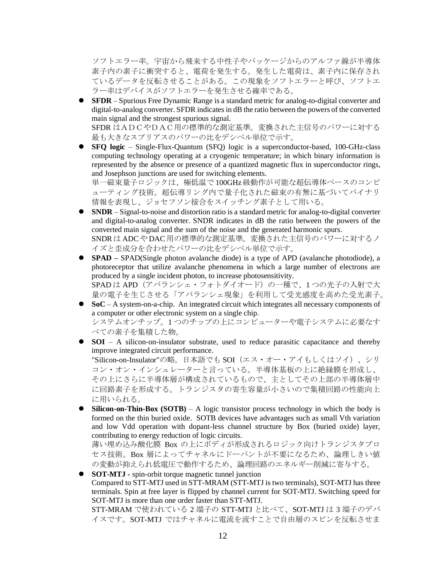ソフトエラー率。宇宙から飛来する中性子やパッケージからのアルファ線が半導体 素子内の素子に衝突すると、電荷を発生する。発生した電荷は、素子内に保存され ているデータを反転させることがある。この現象をソフトエラーと呼び、ソフトエ ラー率はデバイスがソフトエラーを発生させる確率である。

⚫ **SFDR** – Spurious Free Dynamic Range is a standard metric for analog-to-digital converter and digital-to-analog converter. SFDR indicates in dB the ratio between the powers of the converted main signal and the strongest spurious signal.

SFDR はADCやDAC用の標準的な測定基準。変換された主信号のパワーに対する 最も大きなスプリアスのパワーの比をデシベル単位で示す。

⚫ **SFQ logic** – Single-Flux-Quantum (SFQ) logic is a superconductor-based, 100-GHz-class computing technology operating at a cryogenic temperature; in which binary information is represented by the absence or presence of a quantized magnetic flux in superconductor rings, and Josephson junctions are used for switching elements.

単一磁束量子ロジックは、極低温で 100GHz級動作が可能な超伝導体ベースのコンピ ューティング技術。超伝導リング内で量子化された磁束の有無に基づいてバイナリ 情報を表現し、ジョセフソン接合をスイッチング素子として用いる。

⚫ **SNDR** – Signal-to-noise and distortion ratio is a standard metric for analog-to-digital converter and digital-to-analog converter. SNDR indicates in dB the ratio between the powers of the converted main signal and the sum of the noise and the generated harmonic spurs. SNDRはADCやDAC用の標準的な測定基準。変換された主信号のパワーに対するノ

イズと歪成分を合わせたパワーの比をデシベル単位で示す。

- **SPAD** SPAD(Single photon avalanche diode) is a type of APD (avalanche photodiode), a photoreceptor that utilize avalanche phenomena in which a large number of electrons are produced by a single incident photon, to increase photosensitivity. SPADは APD(アバランシェ・フォトダイオード)の一種で、1つの光子の入射で大 量の電子を生じさせる「アバランシェ現象」を利用して受光感度を高めた受光素子。
- ⚫ **SoC** A system-on-a-chip. An integrated circuit which integrates all necessary components of a computer or other electronic system on a single chip. システムオンチップ。1 つのチップの上にコンピューターや電子システムに必要なす べての素子を集積した物。
- **SOI** A silicon-on-insulator substrate, used to reduce parasitic capacitance and thereby improve integrated circuit performance.

"Silicon-on-Insulator"の略。日本語でも SOI(エス・オー・アイもしくはソイ)、シリ コン・オン・インシュレーターと言っている。半導体基板の上に絶縁膜を形成し、 その上にさらに半導体層が構成されているもので、主としてその上部の半導体層中 に回路素子を形成する。トランジスタの寄生容量が小さいので集積回路の性能向上 に用いられる。

⚫ **Silicon-on-Thin-Box (SOTB)** – A logic transistor process technology in which the body is formed on the thin buried oxide. SOTB devices have advantages such as small Vth variation and low Vdd operation with dopant-less channel structure by Box (buried oxide) layer, contributing to energy reduction of logic circuits.

薄い埋め込み酸化膜 Box の上にボディが形成されるロジック向けトランジスタプロ セス技術。Box 層によってチャネルにドーパントが不要になるため、論理しきい値 の変動が抑えられ低電圧で動作するため、論理回路のエネルギー削減に寄与する。

⚫ **SOT-MTJ -** spin-orbit torque magnetic tunnel junction Compared to STT-MTJ used in STT-MRAM (STT-MTJ is two terminals), SOT-MTJ has three terminals. Spin at free layer is flipped by channel current for SOT-MTJ. Switching speed for SOT-MTJ is more than one order faster than STT-MTJ.

STT-MRAM で使われている 2 端子の STT-MTJ と比べて、SOT-MTJ は 3 端子のデバ イスです。SOT-MTJ ではチャネルに電流を流すことで自由層のスピンを反転させま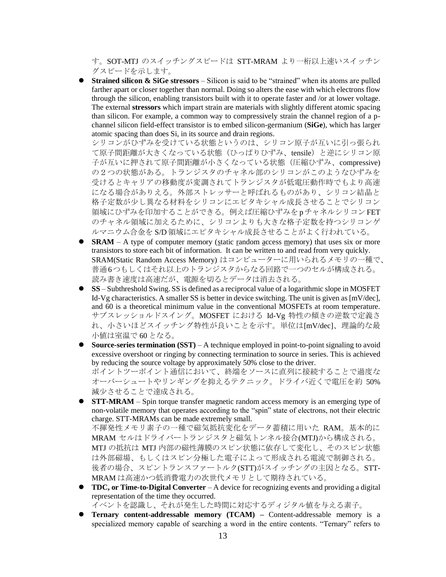す。SOT-MTJ のスイッチングスピードは STT-MRAM より一桁以上速いスイッチン グスピードを示します。

⚫ **Strained silicon & SiGe stressors** – Silicon is said to be "strained" when its atoms are pulled farther apart or closer together than normal. Doing so alters the ease with which electrons flow through the silicon, enabling transistors built with it to operate faster and /or at lower voltage. The external **stressors** which impart strain are materials with slightly different atomic spacing than silicon. For example, a common way to compressively strain the channel region of a pchannel silicon field-effect transistor is to embed silicon-germanium (**SiGe**), which has larger atomic spacing than does Si, in its source and drain regions.

シリコンがひずみを受けている状態というのは、シリコン原子が互いに引っ張られ て原子間距離が大きくなっている状態(ひっぱりひずみ、tensile)と逆にシリコン原 子が互いに押されて原子間距離が小さくなっている状態(圧縮ひずみ、compressive) の2つの状態がある。トランジスタのチャネル部のシリコンがこのようなひずみを 受けるとキャリアの移動度が変調されてトランジスタが低電圧動作時でもより高速 になる場合がありえる。外部ストレッサーと呼ばれるものがあり、シリコン結晶と 格子定数が少し異なる材料をシリコンにエピタキシャル成長させることでシリコン 領域にひずみを印加することができる。例えば圧縮ひずみを pチャネルシリコンFET のチャネル領域に加えるために、シリコンよりも大きな格子定数を持つシリコンゲ ルマニウム合金を S/D 領域にエピタキシャル成長させることがよく行われている。

- **SRAM** A type of computer memory (static random access memory) that uses six or more transistors to store each bit of information. It can be written to and read from very quickly. SRAM(Static Random Access Memory) はコンピューターに用いられるメモリの一種で、 普通6つもしくはそれ以上のトランジスタからなる回路で一つのセルが構成される。 読み書き速度は高速だが、電源を切るとデータは消去される。
- **SS** Subthreshold Swing. SS is defined as a reciprocal value of a logarithmic slope in MOSFET Id-Vg characteristics. A smaller SS is better in device switching. The unit is given as [mV/dec], and 60 is a theoretical minimum value in the conventional MOSFETs at room temperature. サブスレッショルドスイング。MOSFET における Id-Vg 特性の傾きの逆数で定義さ れ、小さいほどスイッチング特性が良いことを示す。単位は[mV/dec]、理論的な最 小値は室温で 60 となる。
- ⚫ **Source-series termination (SST)** A technique employed in point-to-point signaling to avoid excessive overshoot or ringing by connecting termination to source in series. This is achieved by reducing the source voltage by approximately 50% close to the driver. ポイントツーポイント通信において、終端をソースに直列に接続することで過度な オーバーシュートやリンギングを抑えるテクニック。ドライバ近くで電圧を約 50% 減少させることで達成される。
- **STT-MRAM** Spin torque transfer magnetic random access memory is an emerging type of non-volatile memory that operates according to the "spin" state of electrons, not their electric charge. STT-MRAMs can be made extremely small.

不揮発性メモリ素子の一種で磁気抵抗変化をデータ蓄積に用いた RAM。基本的に MRAM セルはドライバートランジスタと磁気トンネル接合(MTJ)から構成される。 MTJ の抵抗は MTJ 内部の磁性薄膜のスピン状態に依存して変化し、そのスピン状態 は外部磁場、もしくはスピン分極した電子によって形成される電流で制御される。 後者の場合、スピントランスファートルク(STT)がスイッチングの主因となる。STT-MRAM は高速かつ低消費電力の次世代メモリとして期待されている。

- ⚫ **TDC, or Time-to-Digital Converter** A device for recognizing events and providing a digital representation of the time they occurred. イベントを認識し、それが発生した時間に対応するディジタル値を与える素子。
- ⚫ **Ternary content-addressable memory (TCAM) –** Content-addressable memory is a specialized memory capable of searching a word in the entire contents. "Ternary" refers to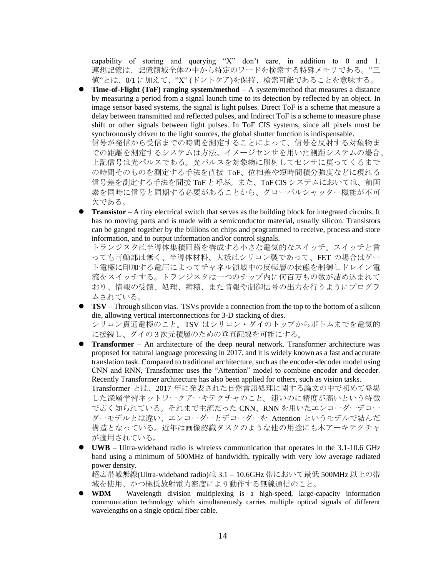capability of storing and querying "X" don't care, in addition to 0 and 1. 連想記憶は、記憶領域全体の中から特定のワードを検索する特殊メモリである。"三 値"とは、0/1 に加えて、"X" (ドントケア)を保持、検索可能であることを意味する。

⚫ **Time-of-Flight (ToF) ranging system/method** – A system/method that measures a distance by measuring a period from a signal launch time to its detection by reflected by an object. In image sensor based systems, the signal is light pulses. Direct ToF is a scheme that measure a delay between transmitted and reflected pulses, and Indirect ToF is a scheme to measure phase shift or other signals between light pulses. In ToF CIS systems, since all pixels must be synchronously driven to the light sources, the global shutter function is indispensable. 信号が発信から受信までの時間を測定することによって、信号を反射する対象物ま での距離を測定するシステムは方法。イメージセンサを用いた測距システムの場合、 上記信号は光パルスである。光パルスを対象物に照射してセンサに戻ってくるまで

の時間そのものを測定する手法を直接 ToF、位相差や短時間積分強度などに現れる 信号差を測定する手法を間接 ToF と呼ぶ。また、ToF CIS システムにおいては、前画 素を同時に信号と同期する必要があることから、グローバルシャッター機能が不可 欠である。

**■ Transistor** – A tiny electrical switch that serves as the building block for integrated circuits. It has no moving parts and is made with a semiconductor material, usually silicon. Transistors can be ganged together by the billions on chips and programmed to receive, process and store information, and to output information and/or control signals.

トランジスタは半導体集積回路を構成する小さな電気的なスイッチ。スイッチと言 っても可動部は無く、半導体材料、大抵はシリコン製であって、FET の場合はゲー ト電極に印加する電圧によってチャネル領域中の反転層の状態を制御しドレイン電 流をスイッチする。トランジスタは一つのチップ内に何百万もの数が詰め込まれて おり、情報の受領、処理、蓄積、また情報や制御信号の出力を行うようにプログラ ムされている。

⚫ **TSV** – Through silicon vias. TSVs provide a connection from the top to the bottom of a silicon die, allowing vertical interconnections for 3-D stacking of dies. シリコン貫通電極のこと。TSV はシリコン・ダイのトップからボトムまでを電気的

に接続し、ダイの 3 次元積層のための垂直配線を可能にする。 ⚫ **Transformer** – An architecture of the deep neural network. Transformer architecture was proposed for natural language processing in 2017, and it is widely known as a fast and accurate translation task. Compared to traditional architecture, such as the encoder-decoder model using CNN and RNN, Transformer uses the "Attention" model to combine encoder and decoder.

- Recently Transformer architecture has also been applied for others, such as vision tasks. Transformer とは、2017 年に発表された自然言語処理に関する論文の中で初めて登場 した深層学習ネットワークアーキテクチャのこと。速いのに精度が高いという特徴 で広く知られている。それまで主流だった CNN、RNN を用いたエンコーダーデコー ダーモデルとは違い、エンコーダーとデコーダーを Attention というモデルで結んだ 構造となっている。近年は画像認識タスクのような他の用途にも本アーキテクチャ が適用されている。
- ⚫ **UWB**  Ultra-wideband radio is wireless communication that operates in the 3.1-10.6 GHz band using a minimum of 500MHz of bandwidth, typically with very low average radiated power density.

超広帯域無線(Ultra-wideband radio)は 3.1 – 10.6GHz 帯において最低 500MHz 以上の帯 域を使用、かつ極低放射電力密度により動作する無線通信のこと。

⚫ **WDM** – Wavelength division multiplexing is a high-speed, large-capacity information communication technology which simultaneously carries multiple optical signals of different wavelengths on a single optical fiber cable.